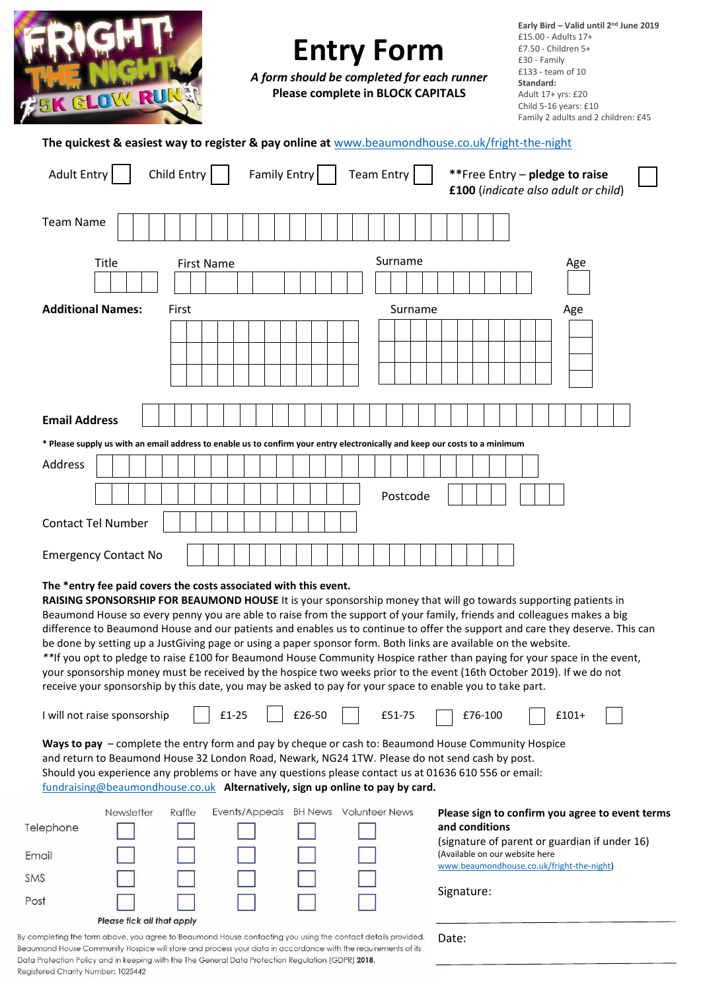| <b>ASK GLOW RUI</b>                                                                                         | <b>Entry Form</b><br>A form should be completed for each runner<br><b>Please complete in BLOCK CAPITALS</b>                                                                                                                                                                                                                                                                                                                                                                                                                                                                                                                                                                                                                                                                                                                                                                                                                                                                                                                                                                                                                                               | Early Bird - Valid until 2 <sup>nd</sup> June 2019<br>£15.00 - Adults 17+<br>£7.50 - Children 5+<br>£30 - Family<br>£133 - team of 10<br>Standard:<br>Adult 17+ yrs: £20<br>Child 5-16 years: £10<br>Family 2 adults and 2 children: £45 |
|-------------------------------------------------------------------------------------------------------------|-----------------------------------------------------------------------------------------------------------------------------------------------------------------------------------------------------------------------------------------------------------------------------------------------------------------------------------------------------------------------------------------------------------------------------------------------------------------------------------------------------------------------------------------------------------------------------------------------------------------------------------------------------------------------------------------------------------------------------------------------------------------------------------------------------------------------------------------------------------------------------------------------------------------------------------------------------------------------------------------------------------------------------------------------------------------------------------------------------------------------------------------------------------|------------------------------------------------------------------------------------------------------------------------------------------------------------------------------------------------------------------------------------------|
| The quickest & easiest way to register & pay online at www.beaumondhouse.co.uk/fright-the-night             |                                                                                                                                                                                                                                                                                                                                                                                                                                                                                                                                                                                                                                                                                                                                                                                                                                                                                                                                                                                                                                                                                                                                                           |                                                                                                                                                                                                                                          |
| Child Entry<br><b>Adult Entry</b>                                                                           | <b>Family Entry</b><br><b>Team Entry</b>                                                                                                                                                                                                                                                                                                                                                                                                                                                                                                                                                                                                                                                                                                                                                                                                                                                                                                                                                                                                                                                                                                                  | **Free Entry - pledge to raise<br>£100 (indicate also adult or child)                                                                                                                                                                    |
| <b>Team Name</b>                                                                                            |                                                                                                                                                                                                                                                                                                                                                                                                                                                                                                                                                                                                                                                                                                                                                                                                                                                                                                                                                                                                                                                                                                                                                           |                                                                                                                                                                                                                                          |
| Title<br><b>First Name</b>                                                                                  | Surname                                                                                                                                                                                                                                                                                                                                                                                                                                                                                                                                                                                                                                                                                                                                                                                                                                                                                                                                                                                                                                                                                                                                                   | Age                                                                                                                                                                                                                                      |
| <b>Additional Names:</b><br>First                                                                           | Surname                                                                                                                                                                                                                                                                                                                                                                                                                                                                                                                                                                                                                                                                                                                                                                                                                                                                                                                                                                                                                                                                                                                                                   | Age                                                                                                                                                                                                                                      |
| <b>Email Address</b>                                                                                        |                                                                                                                                                                                                                                                                                                                                                                                                                                                                                                                                                                                                                                                                                                                                                                                                                                                                                                                                                                                                                                                                                                                                                           |                                                                                                                                                                                                                                          |
|                                                                                                             | * Please supply us with an email address to enable us to confirm your entry electronically and keep our costs to a minimum                                                                                                                                                                                                                                                                                                                                                                                                                                                                                                                                                                                                                                                                                                                                                                                                                                                                                                                                                                                                                                |                                                                                                                                                                                                                                          |
| Address                                                                                                     |                                                                                                                                                                                                                                                                                                                                                                                                                                                                                                                                                                                                                                                                                                                                                                                                                                                                                                                                                                                                                                                                                                                                                           |                                                                                                                                                                                                                                          |
|                                                                                                             | Postcode                                                                                                                                                                                                                                                                                                                                                                                                                                                                                                                                                                                                                                                                                                                                                                                                                                                                                                                                                                                                                                                                                                                                                  |                                                                                                                                                                                                                                          |
| <b>Contact Tel Number</b>                                                                                   |                                                                                                                                                                                                                                                                                                                                                                                                                                                                                                                                                                                                                                                                                                                                                                                                                                                                                                                                                                                                                                                                                                                                                           |                                                                                                                                                                                                                                          |
| <b>Emergency Contact No</b>                                                                                 |                                                                                                                                                                                                                                                                                                                                                                                                                                                                                                                                                                                                                                                                                                                                                                                                                                                                                                                                                                                                                                                                                                                                                           |                                                                                                                                                                                                                                          |
| The *entry fee paid covers the costs associated with this event.<br>£1-25<br>I will not raise sponsorship   | RAISING SPONSORSHIP FOR BEAUMOND HOUSE It is your sponsorship money that will go towards supporting patients in<br>Beaumond House so every penny you are able to raise from the support of your family, friends and colleagues makes a big<br>be done by setting up a JustGiving page or using a paper sponsor form. Both links are available on the website.<br>**If you opt to pledge to raise £100 for Beaumond House Community Hospice rather than paying for your space in the event,<br>your sponsorship money must be received by the hospice two weeks prior to the event (16th October 2019). If we do not<br>receive your sponsorship by this date, you may be asked to pay for your space to enable you to take part.<br>£26-50<br>£51-75<br>Ways to pay - complete the entry form and pay by cheque or cash to: Beaumond House Community Hospice<br>and return to Beaumond House 32 London Road, Newark, NG24 1TW. Please do not send cash by post.<br>Should you experience any problems or have any questions please contact us at 01636 610 556 or email:<br>fundraising@beaumondhouse.co.uk Alternatively, sign up online to pay by card. | difference to Beaumond House and our patients and enables us to continue to offer the support and care they deserve. This can<br>$£101+$<br>£76-100                                                                                      |
| Newsletter<br>Raffle<br>Telephone<br>Email<br>SMS<br>Post<br>Please tick all that apply                     | Events/Appeals BH News Volunteer News                                                                                                                                                                                                                                                                                                                                                                                                                                                                                                                                                                                                                                                                                                                                                                                                                                                                                                                                                                                                                                                                                                                     | Please sign to confirm you agree to event terms<br>and conditions<br>(signature of parent or guardian if under 16)<br>(Available on our website here<br>www.beaumondhouse.co.uk/fright-the-night)<br>Signature:                          |
| y completing the form above, you agree to Beaumond House contacting you using the contact details provided. |                                                                                                                                                                                                                                                                                                                                                                                                                                                                                                                                                                                                                                                                                                                                                                                                                                                                                                                                                                                                                                                                                                                                                           | nater                                                                                                                                                                                                                                    |

 $B$ Beaumond House Community Hospice will store and process your data in accordance with the requirements of its Data Protection Policy and in keeping with the The General Data Protection Regulation (GDPR) 2018. Registered Charity Number: 1025442

Date: